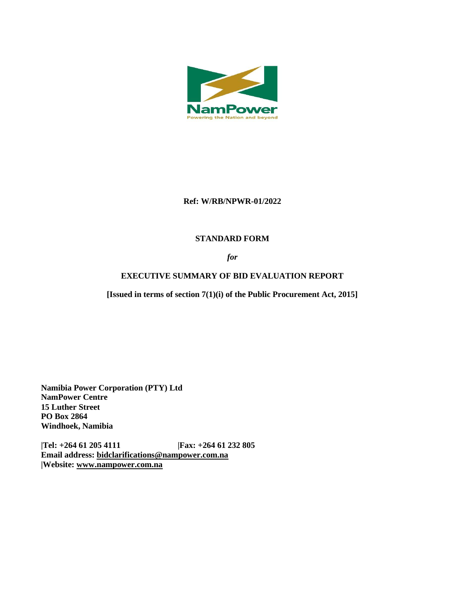

## **Ref: W/RB/NPWR-01/2022**

## **STANDARD FORM**

## *for*

# **EXECUTIVE SUMMARY OF BID EVALUATION REPORT**

**[Issued in terms of section 7(1)(i) of the Public Procurement Act, 2015]** 

**Namibia Power Corporation (PTY) Ltd NamPower Centre 15 Luther Street PO Box 2864 Windhoek, Namibia**

**|Tel: +264 61 205 4111 |Fax: +264 61 232 805 Email address: [bidclarifications@nampower.com.na](mailto:bidclarifications@nampower.com.na) |Website: [www.n](http://www./)ampower.com.na**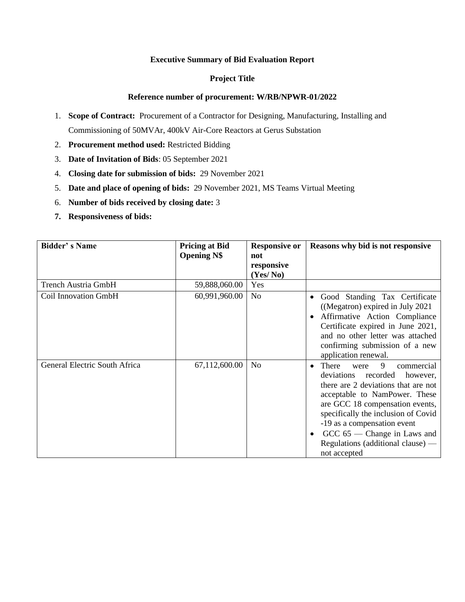### **Executive Summary of Bid Evaluation Report**

### **Project Title**

### **Reference number of procurement: W/RB/NPWR-01/2022**

- 1. **Scope of Contract:** Procurement of a Contractor for Designing, Manufacturing, Installing and Commissioning of 50MVAr, 400kV Air-Core Reactors at Gerus Substation
- 2. **Procurement method used:** Restricted Bidding
- 3. **Date of Invitation of Bids**: 05 September 2021
- 4. **Closing date for submission of bids:** 29 November 2021
- 5. **Date and place of opening of bids:** 29 November 2021, MS Teams Virtual Meeting
- 6. **Number of bids received by closing date:** 3
- **7. Responsiveness of bids:**

| <b>Bidder's Name</b>          | <b>Pricing at Bid</b> | <b>Responsive or</b> | Reasons why bid is not responsive                                                                                                                                                                                                                                                                                                               |  |  |
|-------------------------------|-----------------------|----------------------|-------------------------------------------------------------------------------------------------------------------------------------------------------------------------------------------------------------------------------------------------------------------------------------------------------------------------------------------------|--|--|
|                               | <b>Opening N\$</b>    | not                  |                                                                                                                                                                                                                                                                                                                                                 |  |  |
|                               |                       | responsive           |                                                                                                                                                                                                                                                                                                                                                 |  |  |
|                               |                       | (Yes/No)             |                                                                                                                                                                                                                                                                                                                                                 |  |  |
| <b>Trench Austria GmbH</b>    | 59,888,060.00         | Yes                  |                                                                                                                                                                                                                                                                                                                                                 |  |  |
| <b>Coil Innovation GmbH</b>   | 60,991,960.00         | N <sub>o</sub>       | Good Standing Tax Certificate<br>((Megatron) expired in July 2021<br>Affirmative Action Compliance<br>Certificate expired in June 2021,<br>and no other letter was attached<br>confirming submission of a new<br>application renewal.                                                                                                           |  |  |
| General Electric South Africa | 67,112,600.00         | N <sub>o</sub>       | 9<br>There<br>commercial<br>were<br>deviations<br>recorded<br>however,<br>there are 2 deviations that are not<br>acceptable to NamPower. These<br>are GCC 18 compensation events,<br>specifically the inclusion of Covid<br>-19 as a compensation event<br>$GCC$ 65 — Change in Laws and<br>Regulations (additional clause) $-$<br>not accepted |  |  |